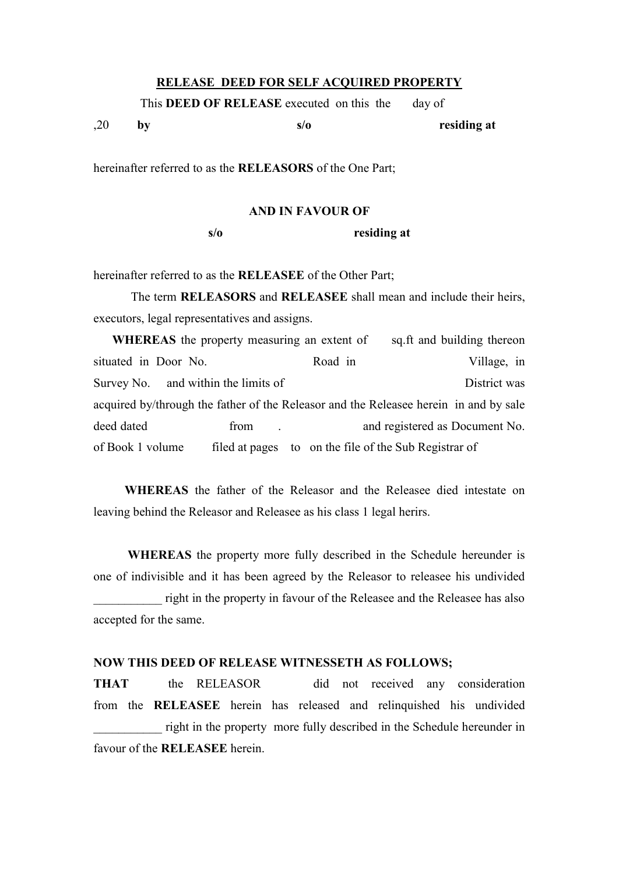#### **RELEASE DEED FOR SELF ACQUIRED PROPERTY**

This **DEED OF RELEASE** executed on this the day of

,20 **by s/o residing at**

hereinafter referred to as the **RELEASORS** of the One Part;

### **AND IN FAVOUR OF**

**s/o residing at**

hereinafter referred to as the **RELEASEE** of the Other Part;

The term **RELEASORS** and **RELEASEE** shall mean and include their heirs, executors, legal representatives and assigns.

| <b>WHEREAS</b> the property measuring an extent of                                   |      |  |                                                       |  | sq.ft and building thereon     |
|--------------------------------------------------------------------------------------|------|--|-------------------------------------------------------|--|--------------------------------|
| situated in Door No.                                                                 |      |  | Road in                                               |  | Village, in                    |
| Survey No. and within the limits of                                                  |      |  |                                                       |  | District was                   |
| acquired by/through the father of the Releasor and the Release herein in and by sale |      |  |                                                       |  |                                |
| deed dated                                                                           | from |  |                                                       |  | and registered as Document No. |
| of Book 1 volume                                                                     |      |  | filed at pages to on the file of the Sub Registrar of |  |                                |

 **WHEREAS** the father of the Releasor and the Releasee died intestate on leaving behind the Releasor and Releasee as his class 1 legal herirs.

 **WHEREAS** the property more fully described in the Schedule hereunder is one of indivisible and it has been agreed by the Releasor to releasee his undivided right in the property in favour of the Releasee and the Releasee has also accepted for the same.

# **NOW THIS DEED OF RELEASE WITNESSETH AS FOLLOWS;**

**THAT** the RELEASOR did not received any consideration from the **RELEASEE** herein has released and relinquished his undivided right in the property more fully described in the Schedule hereunder in favour of the **RELEASEE** herein.